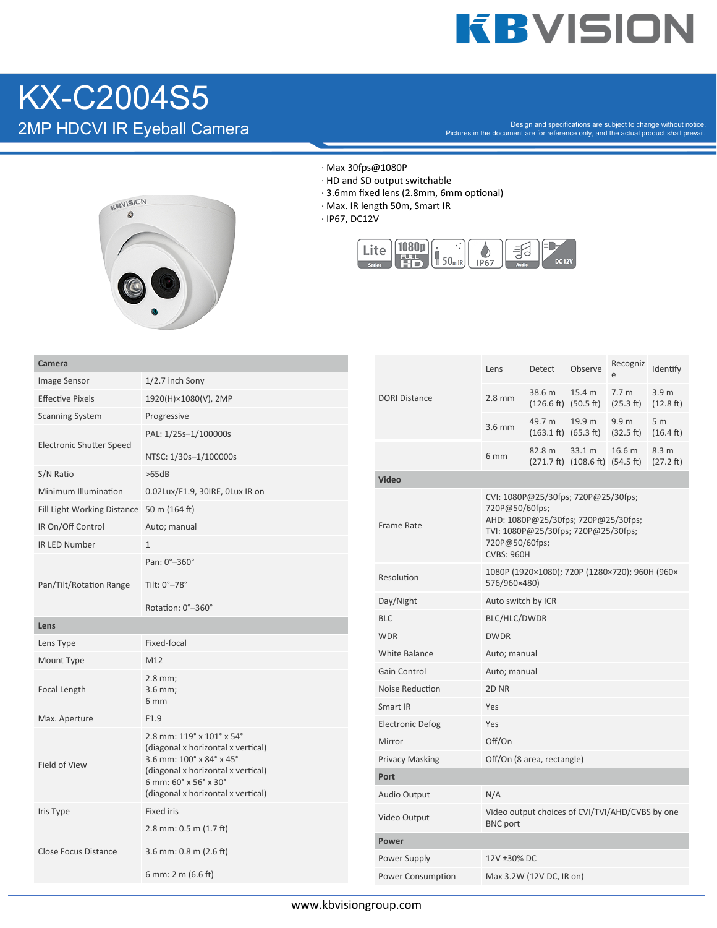## **KBVISION**

## KX-C2004S5<br>
2MP HDCVI IR Eyeball Camera

 $2\mathsf{MP}\ \mathsf{HDCVI}\ \mathsf{IR}$  Eyeball Camera  $2\mathsf{MPP}\ \mathsf{P}_\mathsf{C}$  rectures in the document are for reference only, and the actual product shall prevail.



- · Max 30fps@1080P
- · HD and SD output switchable
- $\cdot$  3.6mm fixed lens (2.8mm, 6mm optional)
- · Max. IR length 50m, Smart IR
- · IP67, DC12V



| Camera                                    |                                                                                                                                                                                                  |                                     |                                               | Lens                                                                                         | Detect                                             | Observe                                                                 | Recogniz                      | Identify                      |  |
|-------------------------------------------|--------------------------------------------------------------------------------------------------------------------------------------------------------------------------------------------------|-------------------------------------|-----------------------------------------------|----------------------------------------------------------------------------------------------|----------------------------------------------------|-------------------------------------------------------------------------|-------------------------------|-------------------------------|--|
| Image Sensor                              | $1/2.7$ inch Sony                                                                                                                                                                                |                                     |                                               |                                                                                              |                                                    |                                                                         |                               |                               |  |
| <b>Effective Pixels</b>                   | 1920(H)×1080(V), 2MP                                                                                                                                                                             |                                     | <b>DORI Distance</b>                          | $2.8$ mm                                                                                     | 38.6 m<br>$(126.6 \text{ ft})$ $(50.5 \text{ ft})$ | 15.4 m                                                                  | 7.7 <sub>m</sub><br>(25.3 ft) | 3.9 <sub>m</sub><br>(12.8 ft) |  |
| <b>Scanning System</b>                    | Progressive                                                                                                                                                                                      |                                     |                                               |                                                                                              | 49.7 m                                             | 19.9 m                                                                  | 9.9 <sub>m</sub>              | 5 <sub>m</sub>                |  |
|                                           | PAL: 1/25s-1/100000s                                                                                                                                                                             |                                     |                                               | 3.6 mm                                                                                       | $(163.1 \text{ ft})$ $(65.3 \text{ ft})$           |                                                                         | (32.5 ft)                     | $(16.4 \text{ ft})$           |  |
| <b>Electronic Shutter Speed</b>           | NTSC: 1/30s-1/100000s                                                                                                                                                                            |                                     |                                               | 6 <sub>mm</sub>                                                                              | 82.8 m                                             | 33.1 m<br>$(271.7 \text{ ft})$ $(108.6 \text{ ft})$ $(54.5 \text{ ft})$ | 16.6 m                        | 8.3 <sub>m</sub><br>(27.2 ft) |  |
| S/N Ratio                                 | >65dB                                                                                                                                                                                            |                                     | Video                                         |                                                                                              |                                                    |                                                                         |                               |                               |  |
| Minimum Illumination                      | 0.02Lux/F1.9, 30IRE, OLux IR on                                                                                                                                                                  |                                     |                                               | CVI: 1080P@25/30fps; 720P@25/30fps;                                                          |                                                    |                                                                         |                               |                               |  |
| Fill Light Working Distance 50 m (164 ft) |                                                                                                                                                                                                  |                                     | 720P@50/60fps;                                |                                                                                              |                                                    |                                                                         |                               |                               |  |
| IR On/Off Control                         | Auto; manual                                                                                                                                                                                     |                                     | Frame Rate                                    | AHD: 1080P@25/30fps; 720P@25/30fps;<br>TVI: 1080P@25/30fps; 720P@25/30fps;<br>720P@50/60fps; |                                                    |                                                                         |                               |                               |  |
| <b>IR LED Number</b>                      | $\mathbf{1}$                                                                                                                                                                                     |                                     |                                               |                                                                                              |                                                    |                                                                         |                               |                               |  |
|                                           | Pan: 0°-360°                                                                                                                                                                                     |                                     | Resolution                                    | <b>CVBS: 960H</b>                                                                            |                                                    |                                                                         |                               |                               |  |
| Pan/Tilt/Rotation Range                   | Tilt: 0°-78°                                                                                                                                                                                     |                                     |                                               | 1080P (1920×1080); 720P (1280×720); 960H (960×<br>576/960×480)                               |                                                    |                                                                         |                               |                               |  |
|                                           | Rotation: 0°-360°                                                                                                                                                                                |                                     | Day/Night                                     | Auto switch by ICR                                                                           |                                                    |                                                                         |                               |                               |  |
| Lens                                      |                                                                                                                                                                                                  |                                     | <b>BLC</b>                                    | BLC/HLC/DWDR                                                                                 |                                                    |                                                                         |                               |                               |  |
| Lens Type                                 | Fixed-focal                                                                                                                                                                                      |                                     | <b>WDR</b>                                    | <b>DWDR</b>                                                                                  |                                                    |                                                                         |                               |                               |  |
| Mount Type                                | M12                                                                                                                                                                                              |                                     | <b>White Balance</b>                          | Auto; manual                                                                                 |                                                    |                                                                         |                               |                               |  |
|                                           | 2.8 mm;                                                                                                                                                                                          | <b>Gain Control</b><br>Auto; manual |                                               |                                                                                              |                                                    |                                                                         |                               |                               |  |
| Focal Length                              | $3.6$ mm;                                                                                                                                                                                        |                                     | Noise Reduction                               | 2D <sub>NR</sub>                                                                             |                                                    |                                                                         |                               |                               |  |
|                                           | 6 mm                                                                                                                                                                                             |                                     | Smart IR                                      | Yes                                                                                          |                                                    |                                                                         |                               |                               |  |
| Max. Aperture                             | F1.9                                                                                                                                                                                             |                                     | <b>Electronic Defog</b>                       | Yes                                                                                          |                                                    |                                                                         |                               |                               |  |
| Field of View                             | 2.8 mm: 119° x 101° x 54°<br>(diagonal x horizontal x vertical)<br>3.6 mm: 100° x 84° x 45°<br>(diagonal x horizontal x vertical)<br>6 mm: 60° x 56° x 30°<br>(diagonal x horizontal x vertical) |                                     | Mirror                                        | Off/On                                                                                       |                                                    |                                                                         |                               |                               |  |
|                                           |                                                                                                                                                                                                  |                                     | <b>Privacy Masking</b>                        | Off/On (8 area, rectangle)                                                                   |                                                    |                                                                         |                               |                               |  |
|                                           |                                                                                                                                                                                                  |                                     | Port                                          |                                                                                              |                                                    |                                                                         |                               |                               |  |
|                                           |                                                                                                                                                                                                  |                                     | Audio Output                                  | N/A                                                                                          |                                                    |                                                                         |                               |                               |  |
| Iris Type                                 | <b>Fixed iris</b>                                                                                                                                                                                |                                     | Video Output                                  | <b>BNC</b> port                                                                              | Video output choices of CVI/TVI/AHD/CVBS by one    |                                                                         |                               |                               |  |
|                                           | 2.8 mm: $0.5$ m $(1.7$ ft)<br>3.6 mm: $0.8$ m $(2.6$ ft)                                                                                                                                         |                                     | <b>Power</b>                                  |                                                                                              |                                                    |                                                                         |                               |                               |  |
| Close Focus Distance                      |                                                                                                                                                                                                  |                                     | Power Supply                                  | 12V ±30% DC                                                                                  |                                                    |                                                                         |                               |                               |  |
|                                           | 6 mm: 2 m $(6.6 \text{ ft})$                                                                                                                                                                     |                                     | Power Consumption<br>Max 3.2W (12V DC, IR on) |                                                                                              |                                                    |                                                                         |                               |                               |  |
|                                           |                                                                                                                                                                                                  |                                     |                                               |                                                                                              |                                                    |                                                                         |                               |                               |  |